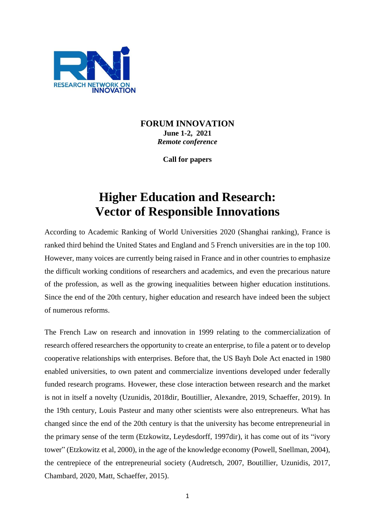

## **FORUM INNOVATION June 1-2, 2021** *Remote conference*

**Call for papers**

# **Higher Education and Research: Vector of Responsible Innovations**

According to Academic Ranking of World Universities 2020 (Shanghai ranking), France is ranked third behind the United States and England and 5 French universities are in the top 100. However, many voices are currently being raised in France and in other countries to emphasize the difficult working conditions of researchers and academics, and even the precarious nature of the profession, as well as the growing inequalities between higher education institutions. Since the end of the 20th century, higher education and research have indeed been the subject of numerous reforms.

The French Law on research and innovation in 1999 relating to the commercialization of research offered researchers the opportunity to create an enterprise, to file a patent or to develop cooperative relationships with enterprises. Before that, the US Bayh Dole Act enacted in 1980 enabled universities, to own patent and commercialize inventions developed under federally funded research programs. Hovewer, these close interaction between research and the market is not in itself a novelty (Uzunidis, 2018dir, Boutillier, Alexandre, 2019, Schaeffer, 2019). In the 19th century, Louis Pasteur and many other scientists were also entrepreneurs. What has changed since the end of the 20th century is that the university has become entrepreneurial in the primary sense of the term (Etzkowitz, Leydesdorff, 1997dir), it has come out of its "ivory tower" (Etzkowitz et al, 2000), in the age of the knowledge economy (Powell, Snellman, 2004), the centrepiece of the entrepreneurial society (Audretsch, 2007, Boutillier, Uzunidis, 2017, Chambard, 2020, Matt, Schaeffer, 2015).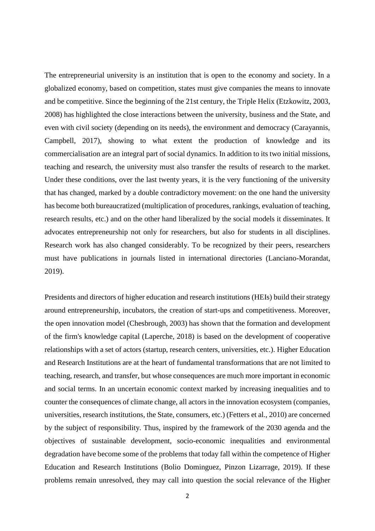The entrepreneurial university is an institution that is open to the economy and society. In a globalized economy, based on competition, states must give companies the means to innovate and be competitive. Since the beginning of the 21st century, the Triple Helix (Etzkowitz, 2003, 2008) has highlighted the close interactions between the university, business and the State, and even with civil society (depending on its needs), the environment and democracy (Carayannis, Campbell, 2017), showing to what extent the production of knowledge and its commercialisation are an integral part of social dynamics. In addition to its two initial missions, teaching and research, the university must also transfer the results of research to the market. Under these conditions, over the last twenty years, it is the very functioning of the university that has changed, marked by a double contradictory movement: on the one hand the university has become both bureaucratized (multiplication of procedures, rankings, evaluation of teaching, research results, etc.) and on the other hand liberalized by the social models it disseminates. It advocates entrepreneurship not only for researchers, but also for students in all disciplines. Research work has also changed considerably. To be recognized by their peers, researchers must have publications in journals listed in international directories (Lanciano-Morandat, 2019).

Presidents and directors of higher education and research institutions (HEIs) build their strategy around entrepreneurship, incubators, the creation of start-ups and competitiveness. Moreover, the open innovation model (Chesbrough, 2003) has shown that the formation and development of the firm's knowledge capital (Laperche, 2018) is based on the development of cooperative relationships with a set of actors (startup, research centers, universities, etc.). Higher Education and Research Institutions are at the heart of fundamental transformations that are not limited to teaching, research, and transfer, but whose consequences are much more important in economic and social terms. In an uncertain economic context marked by increasing inequalities and to counter the consequences of climate change, all actors in the innovation ecosystem (companies, universities, research institutions, the State, consumers, etc.) (Fetters et al., 2010) are concerned by the subject of responsibility. Thus, inspired by the framework of the 2030 agenda and the objectives of sustainable development, socio-economic inequalities and environmental degradation have become some of the problems that today fall within the competence of Higher Education and Research Institutions (Bolio Dominguez, Pinzon Lizarrage, 2019). If these problems remain unresolved, they may call into question the social relevance of the Higher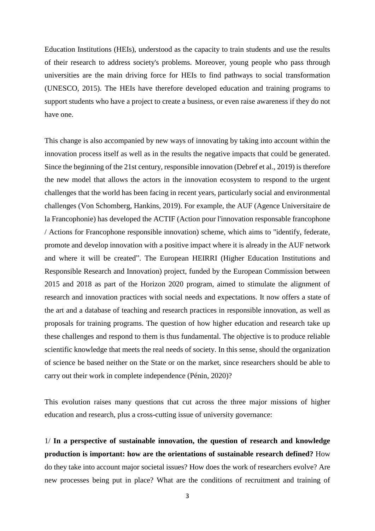Education Institutions (HEIs), understood as the capacity to train students and use the results of their research to address society's problems. Moreover, young people who pass through universities are the main driving force for HEIs to find pathways to social transformation (UNESCO, 2015). The HEIs have therefore developed education and training programs to support students who have a project to create a business, or even raise awareness if they do not have one.

This change is also accompanied by new ways of innovating by taking into account within the innovation process itself as well as in the results the negative impacts that could be generated. Since the beginning of the 21st century, responsible innovation (Debref et al., 2019) is therefore the new model that allows the actors in the innovation ecosystem to respond to the urgent challenges that the world has been facing in recent years, particularly social and environmental challenges (Von Schomberg, Hankins, 2019). For example, the AUF (Agence Universitaire de la Francophonie) has developed the ACTIF (Action pour l'innovation responsable francophone / Actions for Francophone responsible innovation) scheme, which aims to "identify, federate, promote and develop innovation with a positive impact where it is already in the AUF network and where it will be created". The European HEIRRI (Higher Education Institutions and Responsible Research and Innovation) project, funded by the European Commission between 2015 and 2018 as part of the Horizon 2020 program, aimed to stimulate the alignment of research and innovation practices with social needs and expectations. It now offers a state of the art and a database of teaching and research practices in responsible innovation, as well as proposals for training programs. The question of how higher education and research take up these challenges and respond to them is thus fundamental. The objective is to produce reliable scientific knowledge that meets the real needs of society. In this sense, should the organization of science be based neither on the State or on the market, since researchers should be able to carry out their work in complete independence (Pénin, 2020)?

This evolution raises many questions that cut across the three major missions of higher education and research, plus a cross-cutting issue of university governance:

1/ **In a perspective of sustainable innovation, the question of research and knowledge production is important: how are the orientations of sustainable research defined?** How do they take into account major societal issues? How does the work of researchers evolve? Are new processes being put in place? What are the conditions of recruitment and training of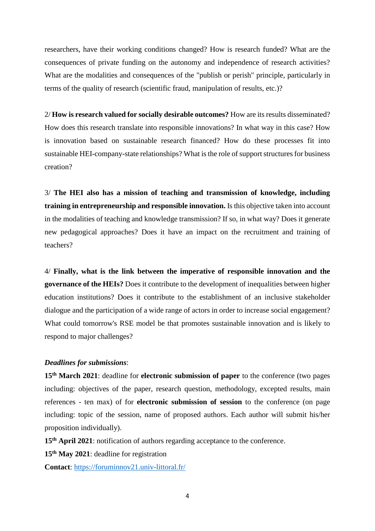researchers, have their working conditions changed? How is research funded? What are the consequences of private funding on the autonomy and independence of research activities? What are the modalities and consequences of the "publish or perish" principle, particularly in terms of the quality of research (scientific fraud, manipulation of results, etc.)?

2/ **How is research valued for socially desirable outcomes?** How are its results disseminated? How does this research translate into responsible innovations? In what way in this case? How is innovation based on sustainable research financed? How do these processes fit into sustainable HEI-company-state relationships? What is the role of support structures for business creation?

3/ **The HEI also has a mission of teaching and transmission of knowledge, including training in entrepreneurship and responsible innovation.** Is this objective taken into account in the modalities of teaching and knowledge transmission? If so, in what way? Does it generate new pedagogical approaches? Does it have an impact on the recruitment and training of teachers?

4/ **Finally, what is the link between the imperative of responsible innovation and the governance of the HEIs?** Does it contribute to the development of inequalities between higher education institutions? Does it contribute to the establishment of an inclusive stakeholder dialogue and the participation of a wide range of actors in order to increase social engagement? What could tomorrow's RSE model be that promotes sustainable innovation and is likely to respond to major challenges?

#### *Deadlines for submissions*:

**15th March 2021**: deadline for **electronic submission of paper** to the conference (two pages including: objectives of the paper, research question, methodology, excepted results, main references - ten max) of for **electronic submission of session** to the conference (on page including: topic of the session, name of proposed authors. Each author will submit his/her proposition individually).

**15th April 2021**: notification of authors regarding acceptance to the conference.

**15th May 2021**: deadline for registration

**Contact**: <https://foruminnov21.univ-littoral.fr/>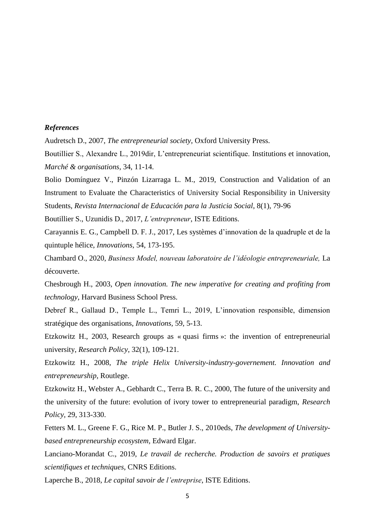#### *References*

Audretsch D., 2007, *The entrepreneurial society*, Oxford University Press.

Boutillier S., Alexandre L., 2019dir, L'entrepreneuriat scientifique. Institutions et innovation, *Marché & organisations*, 34, 11-14.

Bolio Domínguez V., Pinzón Lizarraga L. M., 2019, Construction and Validation of an Instrument to Evaluate the Characteristics of University Social Responsibility in University Students, *Revista Internacional de Educación para la Justicia Social*, 8(1), 79-96

Boutillier S., Uzunidis D., 2017, *L'entrepreneur*, ISTE Editions.

Carayannis E. G., Campbell D. F. J., 2017, Les systèmes d'innovation de la quadruple et de la quintuple hélice, *Innovations,* 54, 173-195.

Chambard O., 2020, *Business Model, nouveau laboratoire de l'idéologie entrepreneuriale,* La découverte.

Chesbrough H., 2003, *Open innovation. The new imperative for creating and profiting from technology*, Harvard Business School Press.

Debref R., Gallaud D., Temple L., Temri L., 2019, L'innovation responsible, dimension stratégique des organisations, *Innovations,* 59, 5-13.

Etzkowitz H., 2003, Research groups as « quasi firms »: the invention of entrepreneurial university, *Research Policy*, 32(1), 109-121.

Etzkowitz H., 2008, *The triple Helix University-industry-governement. Innovation and entrepreneurship*, Routlege.

Etzkowitz H., Webster A., Gebhardt C., Terra B. R. C., 2000, The future of the university and the university of the future: evolution of ivory tower to entrepreneurial paradigm, *Research Policy,* 29, 313-330.

Fetters M. L., Greene F. G., Rice M. P., Butler J. S., 2010eds, *The development of Universitybased entrepreneurship ecosystem,* Edward Elgar.

Lanciano-Morandat C., 2019, *Le travail de recherche. Production de savoirs et pratiques scientifiques et techniques*, CNRS Editions.

Laperche B., 2018, *Le capital savoir de l'entreprise*, ISTE Editions.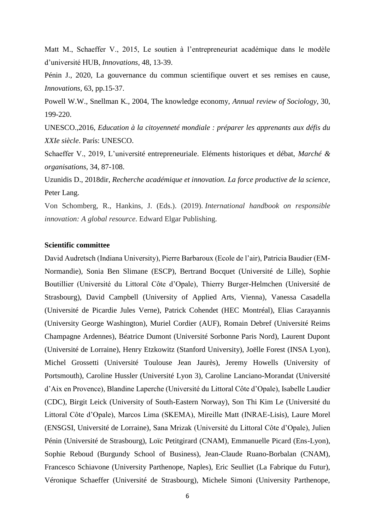Matt M., Schaeffer V., 2015, Le soutien à l'entrepreneuriat académique dans le modèle d'université HUB, *Innovations,* 48, 13-39.

Pénin J., 2020, La gouvernance du commun scientifique ouvert et ses remises en cause, *Innovations,* 63, pp.15-37.

Powell W.W., Snellman K., 2004, The knowledge economy, *Annual review of Sociology*, 30, 199-220.

UNESCO.,2016, *Education à la citoyenneté mondiale : préparer les apprenants aux défis du XXIe siècle*. París: UNESCO.

Schaeffer V., 2019, L'université entrepreneuriale. Eléments historiques et débat, *Marché & organisations*, 34, 87-108.

Uzunidis D., 2018dir, *Recherche académique et innovation. La force productive de la science*, Peter Lang.

Von Schomberg, R., Hankins, J. (Eds.). (2019). *International handbook on responsible innovation: A global resource*. Edward Elgar Publishing.

### **Scientific committee**

David Audretsch (Indiana University), Pierre Barbaroux (Ecole de l'air), Patricia Baudier (EM-Normandie), Sonia Ben Slimane (ESCP), Bertrand Bocquet (Université de Lille), Sophie Boutillier (Université du Littoral Côte d'Opale), Thierry Burger-Helmchen (Université de Strasbourg), David Campbell (University of Applied Arts, Vienna), Vanessa Casadella (Université de Picardie Jules Verne), Patrick Cohendet (HEC Montréal), Elias Carayannis (University George Washington), Muriel Cordier (AUF), Romain Debref (Université Reims Champagne Ardennes), Béatrice Dumont (Université Sorbonne Paris Nord), Laurent Dupont (Université de Lorraine), Henry Etzkowitz (Stanford University), Joëlle Forest (INSA Lyon), Michel Grossetti (Université Toulouse Jean Jaurès), Jeremy Howells (University of Portsmouth), Caroline Hussler (Université Lyon 3), Caroline Lanciano-Morandat (Université d'Aix en Provence), Blandine Laperche (Université du Littoral Côte d'Opale), Isabelle Laudier (CDC), Birgit Leick (University of South-Eastern Norway), Son Thi Kim Le (Université du Littoral Côte d'Opale), Marcos Lima (SKEMA), Mireille Matt (INRAE-Lisis), Laure Morel (ENSGSI, Université de Lorraine), Sana Mrizak (Université du Littoral Côte d'Opale), Julien Pénin (Université de Strasbourg), Loïc Petitgirard (CNAM), Emmanuelle Picard (Ens-Lyon), Sophie Reboud (Burgundy School of Business), Jean-Claude Ruano-Borbalan (CNAM), Francesco Schiavone (University Parthenope, Naples), Eric Seulliet (La Fabrique du Futur), Véronique Schaeffer (Université de Strasbourg), Michele Simoni (University Parthenope,